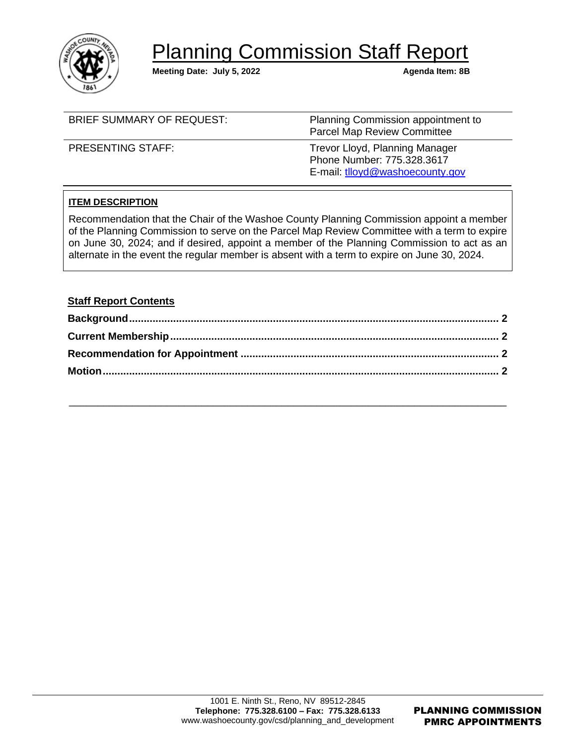

# **Planning Commission Staff Report**

**Meeting Date: July 5, 2022 Agenda Item: 8B** 

| <b>BRIEF SUMMARY OF REQUEST:</b> | Planning Commission appointment to<br><b>Parcel Map Review Committee</b>                        |
|----------------------------------|-------------------------------------------------------------------------------------------------|
| <b>PRESENTING STAFF:</b>         | Trevor Lloyd, Planning Manager<br>Phone Number: 775.328.3617<br>E-mail: tlloyd@washoecounty.gov |

# **ITEM DESCRIPTION**

Recommendation that the Chair of the Washoe County Planning Commission appoint a member of the Planning Commission to serve on the Parcel Map Review Committee with a term to expire on June 30, 2024; and if desired, appoint a member of the Planning Commission to act as an alternate in the event the regular member is absent with a term to expire on June 30, 2024.

## **Staff Report Contents**

\_\_\_\_\_\_\_\_\_\_\_\_\_\_\_\_\_\_\_\_\_\_\_\_\_\_\_\_\_\_\_\_\_\_\_\_\_\_\_\_\_\_\_\_\_\_\_\_\_\_\_\_\_\_\_\_\_\_\_\_\_\_\_\_\_\_\_\_\_\_\_\_\_\_\_\_